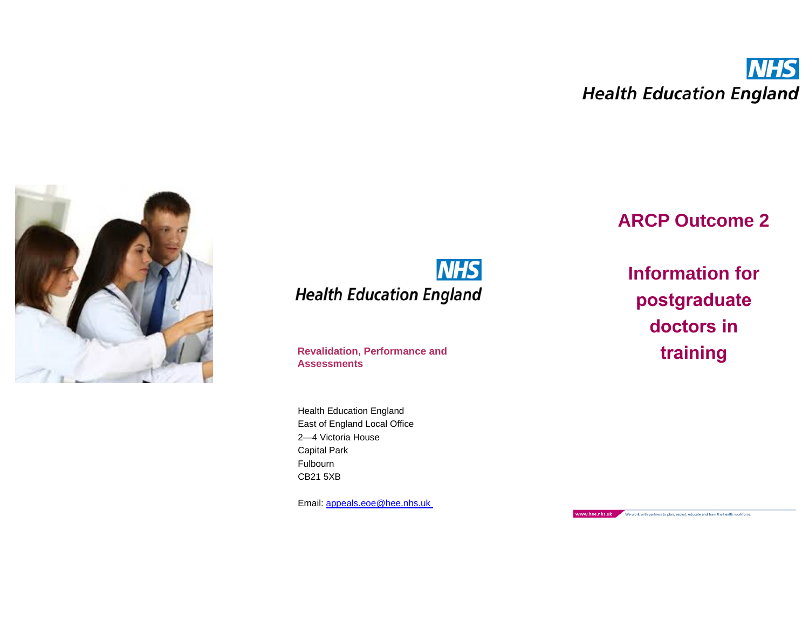

**NHS Health Education England** 

**Revalidation, Performance and training Assessments**

Health Education England East of England Local Office 2—4 Victoria House Capital Park Fulbourn CB21 5XB

Email: [appeals.eoe@hee.nhs.u](mailto:appeals.eoe@hee.nhs.n)k

# **ARCP Outcome 2**

**Information for postgraduate doctors in** 

www.hee.nhs.uk We work with partners to plan, recruit, educate and train the health workforce.